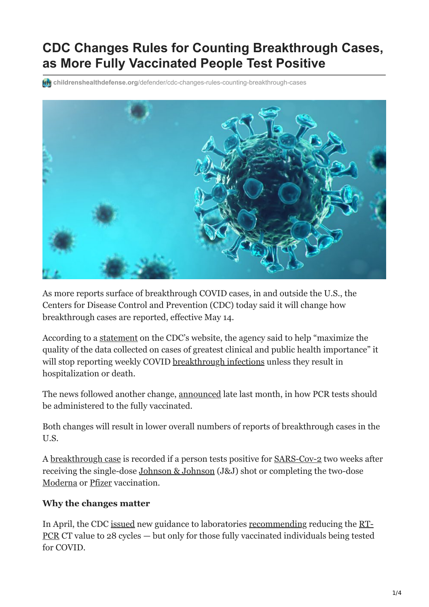# **CDC Changes Rules for Counting Breakthrough Cases, as More Fully Vaccinated People Test Positive**

**childrenshealthdefense.org**[/defender/cdc-changes-rules-counting-breakthrough-cases](https://childrenshealthdefense.org/defender/cdc-changes-rules-counting-breakthrough-cases/)



As more reports surface of breakthrough COVID cases, in and outside the U.S., the Centers for Disease Control and Prevention (CDC) today said it will change how breakthrough cases are reported, effective May 14.

According to a [statement](https://www.cdc.gov/vaccines/covid-19/health-departments/breakthrough-cases.html) on the CDC's website, the agency said to help "maximize the quality of the data collected on cases of greatest clinical and public health importance" it will stop reporting weekly COVID [breakthrough infections](https://childrenshealthdefense.org/defender/states-report-covid-cases-fully-vaccinated/) unless they result in hospitalization or death.

The news followed another change, [announced](https://www.cdc.gov/vaccines/covid-19/health-departments/breakthrough-cases.html) late last month, in how PCR tests should be administered to the fully vaccinated.

Both changes will result in lower overall numbers of reports of breakthrough cases in the U.S.

A [breakthrough case](https://www.cdc.gov/vaccines/covid-19/health-departments/breakthrough-cases.html) is recorded if a person tests positive for [SARS-Cov-2](https://childrenshealthdefense.org/news/republish/chds-letter-to-congress-urging-covid-19-origins-investigation/) two weeks after receiving the single-dose [Johnson & Johnson](https://childrenshealthdefense.org/defender/cdc-panel-resume-use-of-jj-covid-vaccine-no-restrictions/) (J&J) shot or completing the two-dose [Moderna](https://childrenshealthdefense.org/defender/pfizer-moderna-vaccines-blood-clots/) or [Pfizer](https://childrenshealthdefense.org/defender/fda-authorize-pfizer-vaccine-for-adolescents-experts-question/) vaccination.

## **Why the changes matter**

[In April, the CDC i](https://www.fda.gov/media/136151/download#:~:text=The%20COVID%2D19%20RT%2DPCR%20Test%20is%20a%20real%2D,tract%20aspirates%2C%20bronchoalveolar%20lavage%2C%20and)[ssued](https://www.cdc.gov/vaccines/covid-19/health-departments/breakthrough-cases.html) [new guidance to laboratories r](https://www.fda.gov/media/136151/download#:~:text=The%20COVID%2D19%20RT%2DPCR%20Test%20is%20a%20real%2D,tract%20aspirates%2C%20bronchoalveolar%20lavage%2C%20and)[ecommending](https://www.cdc.gov/vaccines/covid-19/downloads/Information-for-laboratories-COVID-vaccine-breakthrough-case-investigation.pdf) [reducing the RT-](https://www.fda.gov/media/136151/download#:~:text=The%20COVID%2D19%20RT%2DPCR%20Test%20is%20a%20real%2D,tract%20aspirates%2C%20bronchoalveolar%20lavage%2C%20and)PCR CT value to 28 cycles — but only for those fully vaccinated individuals being tested for COVID.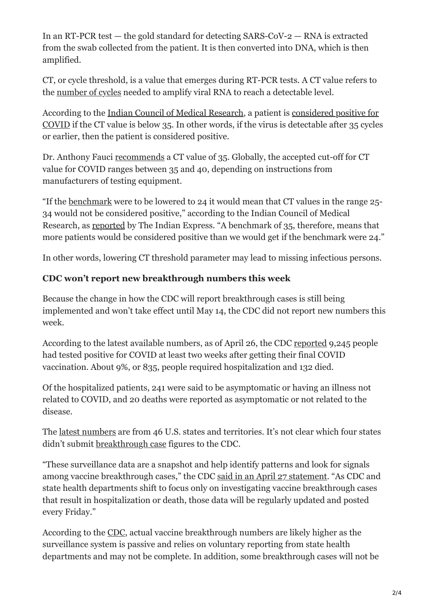In an RT-PCR test — the gold standard for detecting SARS-CoV-2 — RNA is extracted from the swab collected from the patient. It is then converted into DNA, which is then amplified.

CT, or cycle threshold, is a value that emerges during RT-PCR tests. A CT value refers to the [number of cycles](https://www.aacc.org/cln/cln-stat/2020/december/3/sars-cov-2-cycle-threshold-a-metric-that-matters-or-not) needed to amplify viral RNA to reach a detectable level.

According to the [Indian Council of Medical Research,](https://www.icmr.gov.in/) a patient is considered positive for [COVID if the CT value is below 35. In other words, if the virus is detectable after 35 cycle](https://indianexpress.com/article/explained/explained-the-ct-value-in-a-covid-test-7291682/)s or earlier, then the patient is considered positive.

Dr. Anthony Fauci [recommends](https://www.microbe.tv/twiv/twiv-641/) a CT value of 35. Globally, the accepted cut-off for CT value for COVID ranges between 35 and 40, depending on instructions from manufacturers of testing equipment.

"If the [benchmark](https://indianexpress.com/article/explained/explained-the-ct-value-in-a-covid-test-7291682/) were to be lowered to 24 it would mean that CT values in the range 25- 34 would not be considered positive," according to the Indian Council of Medical Research, as [reported](https://indianexpress.com/article/explained/explained-the-ct-value-in-a-covid-test-7291682/) by The Indian Express. "A benchmark of 35, therefore, means that more patients would be considered positive than we would get if the benchmark were 24."

In other words, lowering CT threshold parameter may lead to missing infectious persons.

## **CDC won't report new breakthrough numbers this week**

Because the change in how the CDC will report breakthrough cases is still being implemented and won't take effect until May 14, the CDC did not report new numbers this week.

According to the latest available numbers, as of April 26, the CDC [reported](https://www.cdc.gov/vaccines/covid-19/health-departments/breakthrough-cases.html) 9,245 people had tested positive for COVID at least two weeks after getting their final COVID vaccination. About 9%, or 835, people required hospitalization and 132 died.

Of the hospitalized patients, 241 were said to be asymptomatic or having an illness not related to COVID, and 20 deaths were reported as asymptomatic or not related to the disease.

The [latest numbers](https://www.cdc.gov/vaccines/covid-19/health-departments/breakthrough-cases.html) are from 46 U.S. states and territories. It's not clear which four states didn't submit [breakthrough case](https://childrenshealthdefense.org/defender/states-report-covid-cases-fully-vaccinated/) figures to the CDC.

"These surveillance data are a snapshot and help identify patterns and look for signals among vaccine breakthrough cases," the CDC [said in an April 27 statement.](https://www.theepochtimes.com/mkt_app/at-least-9245-americans-tested-positive-for-covid-19-after-vaccination-132-dead_3798410.html) "As CDC and state health departments shift to focus only on investigating vaccine breakthrough cases that result in hospitalization or death, those data will be regularly updated and posted every Friday."

According to the [CDC](https://www.cdc.gov/vaccines/covid-19/health-departments/breakthrough-cases.html), actual vaccine breakthrough numbers are likely higher as the surveillance system is passive and relies on voluntary reporting from state health departments and may not be complete. In addition, some breakthrough cases will not be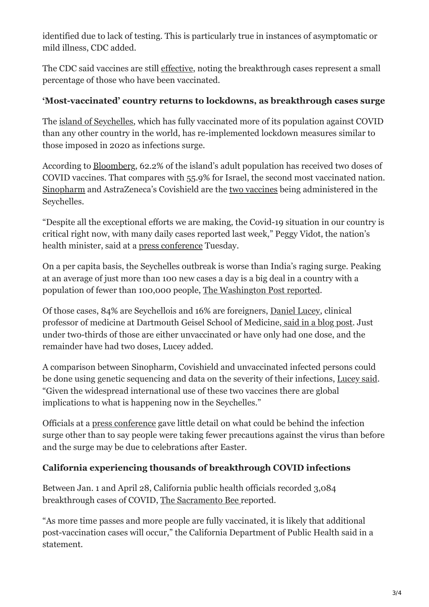identified due to lack of testing. This is particularly true in instances of asymptomatic or mild illness, CDC added.

The CDC said vaccines are still [effective,](https://childrenshealthdefense.org/defender/vaccine-makers-claim-covid-shots-95-percent-effective-what-does-that-mean/) noting the breakthrough cases represent a small percentage of those who have been vaccinated.

### **'Most-vaccinated' country returns to lockdowns, as breakthrough cases surge**

The [island of Seychelles](https://www.bloomberg.com/news/articles/2021-05-04/world-s-most-vaccinated-nation-reintroduces-curbs-as-cases-surge), which has fully vaccinated more of its population against COVID than any other country in the world, has re-implemented lockdown measures similar to those imposed in 2020 as infections surge.

According to [Bloomberg,](https://www.bloomberg.com/news/articles/2021-05-04/world-s-most-vaccinated-nation-reintroduces-curbs-as-cases-surge) 62.2% of the island's adult population has received two doses of COVID vaccines. That compares with 55.9% for Israel, the second most vaccinated nation. [Sinopharm](https://www.msn.com/en-us/news/world/who-places-heat-sensing-sticker-on-chinas-sinopharm-covid-shot-so-workers-know-if-its-viable/ar-BB1gtJZr) and AstraZeneca's Covishield are the [two vaccines](https://m.economictimes.com/news/international/world-news/seychelles-worlds-most-vaccinated-nation-activates-curbs-as-coronavirus-cases-rise/amp_articleshow/82413339.cms) being administered in the Seychelles.

"Despite all the exceptional efforts we are making, the Covid-19 situation in our country is critical right now, with many daily cases reported last week," Peggy Vidot, the nation's health minister, said at a [press conference](https://www.bloomberg.com/news/articles/2021-05-04/world-s-most-vaccinated-nation-reintroduces-curbs-as-cases-surge) Tuesday.

On a per capita basis, the Seychelles outbreak is worse than India's raging surge. Peaking at an average of just more than 100 new cases a day is a big deal in a country with a population of fewer than 100,000 people, [The Washington Post reported](https://www.washingtonpost.com/world/2021/05/06/seychelles-vaccines-covid-cases/).

Of those cases, 84% are Seychellois and 16% are foreigners, [Daniel Lucey](https://geiselmed.dartmouth.edu/faculty/facultydb/view.php/?uid=7588), clinical professor of medicine at Dartmouth Geisel School of Medicine, [said in a blog post](https://sciencespeaksblog.org/2021/05/05/seychelles-reports-rising-cases-in-vaccinated-and-unvaccinated-global-implications-for-variants-vs-vaccines/). Just under two-thirds of those are either unvaccinated or have only had one dose, and the remainder have had two doses, Lucey added.

A comparison between Sinopharm, Covishield and unvaccinated infected persons could be done using genetic sequencing and data on the severity of their infections, [Lucey said.](https://m.economictimes.com/news/international/world-news/seychelles-worlds-most-vaccinated-nation-activates-curbs-as-coronavirus-cases-rise/amp_articleshow/82413339.cms) "Given the widespread international use of these two vaccines there are global implications to what is happening now in the Seychelles."

Officials at a [press conference](https://m.economictimes.com/news/international/world-news/seychelles-worlds-most-vaccinated-nation-activates-curbs-as-coronavirus-cases-rise/amp_articleshow/82413339.cms) gave little detail on what could be behind the infection surge other than to say people were taking fewer precautions against the virus than before and the surge may be due to celebrations after Easter.

## **California experiencing thousands of breakthrough COVID infections**

Between Jan. 1 and April 28, California public health officials recorded 3,084 breakthrough cases of COVID, [The Sacramento Bee r](https://www.sacbee.com/news/coronavirus/article251193109.html)eported.

"As more time passes and more people are fully vaccinated, it is likely that additional post-vaccination cases will occur," the California Department of Public Health said in a statement.